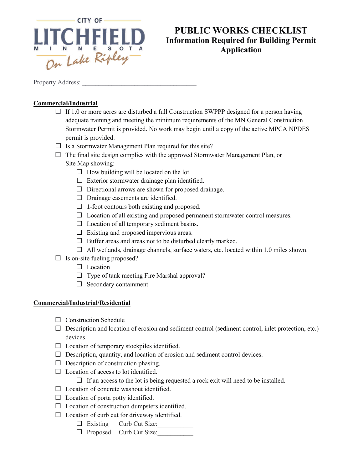

## **PUBLIC WORKS CHECKLIST Information Required for Building Permit Application**

Property Address:

#### **Commercial/Industrial**

- $\Box$  If 1.0 or more acres are disturbed a full Construction SWPPP designed for a person having adequate training and meeting the minimum requirements of the MN General Construction Stormwater Permit is provided. No work may begin until a copy of the active MPCA NPDES permit is provided.
- $\Box$  Is a Stormwater Management Plan required for this site?
- $\Box$  The final site design complies with the approved Stormwater Management Plan, or Site Map showing:
	- $\Box$  How building will be located on the lot.
	- $\Box$  Exterior stormwater drainage plan identified.
	- $\Box$  Directional arrows are shown for proposed drainage.
	- $\Box$  Drainage easements are identified.
	- $\Box$  1-foot contours both existing and proposed.
	- $\Box$  Location of all existing and proposed permanent stormwater control measures.
	- $\Box$  Location of all temporary sediment basins.
	- $\Box$  Existing and proposed impervious areas.
	- $\Box$  Buffer areas and areas not to be disturbed clearly marked.
	- $\Box$  All wetlands, drainage channels, surface waters, etc. located within 1.0 miles shown.
- $\Box$  Is on-site fueling proposed?
	- $\Box$  Location
	- $\Box$  Type of tank meeting Fire Marshal approval?
	- $\Box$  Secondary containment

#### **Commercial/Industrial/Residential**

- $\Box$  Construction Schedule
- $\Box$  Description and location of erosion and sediment control (sediment control, inlet protection, etc.) devices.
- $\Box$  Location of temporary stockpiles identified.
- $\Box$  Description, quantity, and location of erosion and sediment control devices.
- $\Box$  Description of construction phasing.
- $\Box$  Location of access to lot identified.
	- $\Box$  If an access to the lot is being requested a rock exit will need to be installed.
- $\Box$  Location of concrete washout identified.
- $\Box$  Location of porta potty identified.
- $\Box$  Location of construction dumpsters identified.
- $\Box$  Location of curb cut for driveway identified.
	- $\Box$  Existing Curb Cut Size:
	- $\Box$  Proposed Curb Cut Size: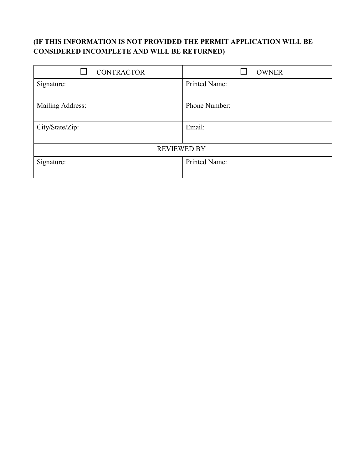## **(IF THIS INFORMATION IS NOT PROVIDED THE PERMIT APPLICATION WILL BE CONSIDERED INCOMPLETE AND WILL BE RETURNED)**

| <b>CONTRACTOR</b>  | <b>OWNER</b>  |
|--------------------|---------------|
| Signature:         | Printed Name: |
|                    |               |
| Mailing Address:   | Phone Number: |
|                    |               |
| City/State/Zip:    | Email:        |
|                    |               |
| <b>REVIEWED BY</b> |               |
| Signature:         | Printed Name: |
|                    |               |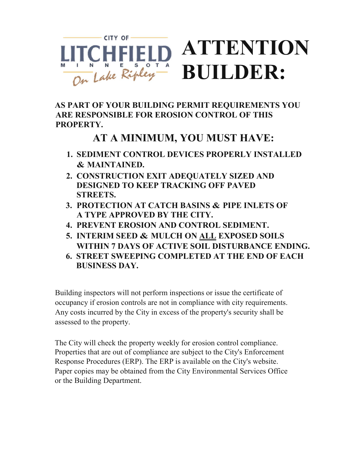

**AS PART OF YOUR BUILDING PERMIT REQUIREMENTS YOU ARE RESPONSIBLE FOR EROSION CONTROL OF THIS PROPERTY.** 

## **AT A MINIMUM, YOU MUST HAVE:**

- **1. SEDIMENT CONTROL DEVICES PROPERLY INSTALLED & MAINTAINED.**
- **2. CONSTRUCTION EXIT ADEQUATELY SIZED AND DESIGNED TO KEEP TRACKING OFF PAVED STREETS.**
- **3. PROTECTION AT CATCH BASINS & PIPE INLETS OF A TYPE APPROVED BY THE CITY.**
- **4. PREVENT EROSION AND CONTROL SEDIMENT.**
- **5. INTERIM SEED & MULCH ON ALL EXPOSED SOILS WITHIN 7 DAYS OF ACTIVE SOIL DISTURBANCE ENDING.**
- **6. STREET SWEEPING COMPLETED AT THE END OF EACH BUSINESS DAY.**

Building inspectors will not perform inspections or issue the certificate of occupancy if erosion controls are not in compliance with city requirements. Any costs incurred by the City in excess of the property's security shall be assessed to the property.

The City will check the property weekly for erosion control compliance. Properties that are out of compliance are subject to the City's Enforcement Response Procedures (ERP). The ERP is available on the City's website. Paper copies may be obtained from the City Environmental Services Office or the Building Department.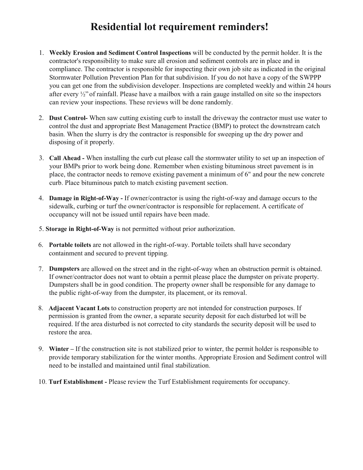# **Residential lot requirement reminders!**

- 1. **Weekly Erosion and Sediment Control Inspections** will be conducted by the permit holder. It is the contractor's responsibility to make sure all erosion and sediment controls are in place and in compliance. The contractor is responsible for inspecting their own job site as indicated in the original Stormwater Pollution Prevention Plan for that subdivision. If you do not have a copy of the SWPPP you can get one from the subdivision developer. Inspections are completed weekly and within 24 hours after every ½" of rainfall. Please have a mailbox with a rain gauge installed on site so the inspectors can review your inspections. These reviews will be done randomly.
- 2. **Dust Control-** When saw cutting existing curb to install the driveway the contractor must use water to control the dust and appropriate Best Management Practice (BMP) to protect the downstream catch basin. When the slurry is dry the contractor is responsible for sweeping up the dry power and disposing of it properly.
- 3. **Call Ahead -** When installing the curb cut please call the stormwater utility to set up an inspection of your BMPs prior to work being done. Remember when existing bituminous street pavement is in place, the contractor needs to remove existing pavement a minimum of 6" and pour the new concrete curb. Place bituminous patch to match existing pavement section.
- 4. **Damage in Right-of-Way -** If owner/contractor is using the right-of-way and damage occurs to the sidewalk, curbing or turf the owner/contractor is responsible for replacement. A certificate of occupancy will not be issued until repairs have been made.
- 5. **Storage in Right-of-Way** is not permitted without prior authorization.
- 6. **Portable toilets** are not allowed in the right-of-way. Portable toilets shall have secondary containment and secured to prevent tipping.
- 7. **Dumpsters** are allowed on the street and in the right-of-way when an obstruction permit is obtained. If owner/contractor does not want to obtain a permit please place the dumpster on private property. Dumpsters shall be in good condition. The property owner shall be responsible for any damage to the public right-of-way from the dumpster, its placement, or its removal.
- 8. **Adjacent Vacant Lots** to construction property are not intended for construction purposes. If permission is granted from the owner, a separate security deposit for each disturbed lot will be required. If the area disturbed is not corrected to city standards the security deposit will be used to restore the area.
- 9. **Winter –** If the construction site is not stabilized prior to winter, the permit holder is responsible to provide temporary stabilization for the winter months. Appropriate Erosion and Sediment control will need to be installed and maintained until final stabilization.
- 10. **Turf Establishment -** Please review the Turf Establishment requirements for occupancy.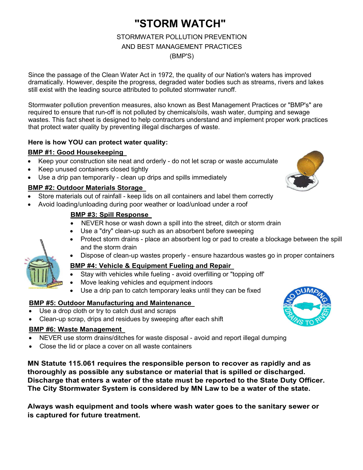# **"STORM WATCH"**

## STORMWATER POLLUTION PREVENTION AND BEST MANAGEMENT PRACTICES

(BMP'S)

Since the passage of the Clean Water Act in 1972, the quality of our Nation's waters has improved dramatically. However, despite the progress, degraded water bodies such as streams, rivers and lakes still exist with the leading source attributed to polluted stormwater runoff.

Stormwater pollution prevention measures, also known as Best Management Practices or "BMP's" are required to ensure that run-off is not polluted by chemicals/oils, wash water, dumping and sewage wastes. This fact sheet is designed to help contractors understand and implement proper work practices that protect water quality by preventing illegal discharges of waste.

### **Here is how YOU can protect water quality:**

#### **BMP #1: Good Housekeeping**

- Keep your construction site neat and orderly do not let scrap or waste accumulate
- Keep unused containers closed tightly
- Use a drip pan temporarily clean up drips and spills immediately

### **BMP #2: Outdoor Materials Storage**

- Store materials out of rainfall keep lids on all containers and label them correctly
- Avoid loading/unloading during poor weather or load/unload under a roof

### **BMP #3: Spill Response**

- NEVER hose or wash down a spill into the street, ditch or storm drain
- Use a "dry" clean-up such as an absorbent before sweeping
- Protect storm drains place an absorbent log or pad to create a blockage between the spill and the storm drain
- Dispose of clean-up wastes properly ensure hazardous wastes go in proper containers

### **BMP #4: Vehicle & Equipment Fueling and Repair**

- Stay with vehicles while fueling avoid overfilling or "topping off'
- Move leaking vehicles and equipment indoors
- Use a drip pan to catch temporary leaks until they can be fixed

### **BMP #5: Outdoor Manufacturing and Maintenance**

- Use a drop cloth or try to catch dust and scraps
- Clean-up scrap, drips and residues by sweeping after each shift

#### **BMP #6: Waste Management**

- NEVER use storm drains/ditches for waste disposal avoid and report illegal dumping
- Close the lid or place a cover on all waste containers

**MN Statute 115.061 requires the responsible person to recover as rapidly and as thoroughly as possible any substance or material that is spilled or discharged. Discharge that enters a water of the state must be reported to the State Duty Officer. The City Stormwater System is considered by MN Law to be a water of the state.** 

**Always wash equipment and tools where wash water goes to the sanitary sewer or is captured for future treatment.** 



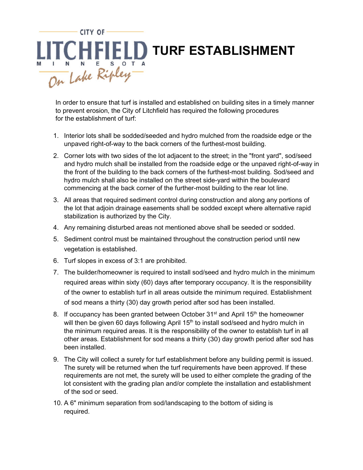

In order to ensure that turf is installed and established on building sites in a timely manner to prevent erosion, the City of Litchfield has required the following procedures for the establishment of turf:

- 1. Interior lots shall be sodded/seeded and hydro mulched from the roadside edge or the unpaved right-of-way to the back corners of the furthest-most building.
- 2. Corner lots with two sides of the lot adjacent to the street; in the "front yard", sod/seed and hydro mulch shall be installed from the roadside edge or the unpaved right-of-way in the front of the building to the back corners of the furthest-most building. Sod/seed and hydro mulch shall also be installed on the street side-yard within the boulevard commencing at the back corner of the further-most building to the rear lot line.
- 3. All areas that required sediment control during construction and along any portions of the lot that adjoin drainage easements shall be sodded except where alternative rapid stabilization is authorized by the City.
- 4. Any remaining disturbed areas not mentioned above shall be seeded or sodded.
- 5. Sediment control must be maintained throughout the construction period until new vegetation is established.
- 6. Turf slopes in excess of 3:1 are prohibited.
- 7. The builder/homeowner is required to install sod/seed and hydro mulch in the minimum required areas within sixty (60) days after temporary occupancy. It is the responsibility of the owner to establish turf in all areas outside the minimum required. Establishment of sod means a thirty (30) day growth period after sod has been installed.
- 8. If occupancy has been granted between October  $31<sup>st</sup>$  and April  $15<sup>th</sup>$  the homeowner will then be given 60 days following April 15<sup>th</sup> to install sod/seed and hydro mulch in the minimum required areas. It is the responsibility of the owner to establish turf in all other areas. Establishment for sod means a thirty (30) day growth period after sod has been installed.
- 9. The City will collect a surety for turf establishment before any building permit is issued. The surety will be returned when the turf requirements have been approved. If these requirements are not met, the surety will be used to either complete the grading of the lot consistent with the grading plan and/or complete the installation and establishment of the sod or seed.
- 10. A 6" minimum separation from sod/landscaping to the bottom of siding is required.